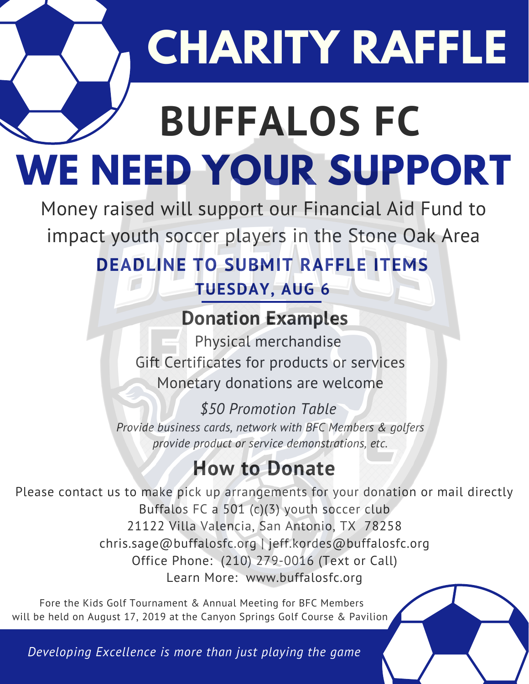# **CHARITY RAFFLE**

## **WE NEED YOUR SUPPORT BUFFALOS FC**

Money raised will support our Financial Aid Fund to

impact youth soccer players in the Stone Oak Area

### **DEADLINE TO SUBMIT RAFFLE ITEMS**

#### **TUESDAY, AUG 6**

#### **Donation Examples**

Physical merchandise Gift Certificates for products or services Monetary donations are welcome

*\$50 Promotion Table Provide business cards, network with BFC Members & golfers provide product or service demonstrations, etc.*

### **How to Donate**

Please contact us to make pick up arrangements for your donation or mail directly Buffalos FC a 501 (c)(3) youth soccer club 21122 Villa Valencia, San Antonio, TX 78258 chris.sage@buffalosfc.org | jeff.kordes@buffalosfc.org Office Phone: (210) 279-0016 (Text or Call) Learn More: www.buffalosfc.org

Fore the Kids Golf Tournament & Annual Meeting for BFC Members will be held on August 17, 2019 at the Canyon Springs Golf Course & Pavilion

*Developing Excellence is more than just playing the game*